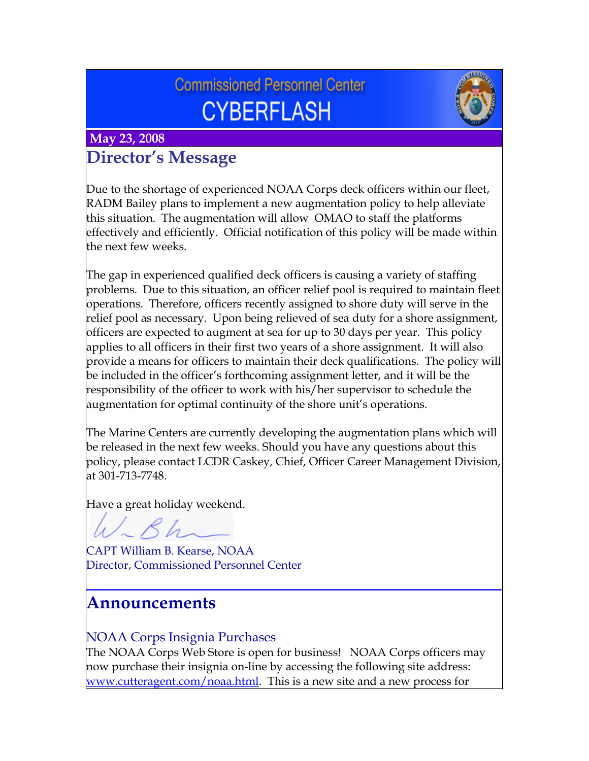# **Commissioned Personnel Center CYBERFLASH**



### **May 23, 2008 Director's Message**

Due to the shortage of experienced NOAA Corps deck officers within our fleet, RADM Bailey plans to implement a new augmentation policy to help alleviate this situation. The augmentation will allow OMAO to staff the platforms effectively and efficiently. Official notification of this policy will be made within the next few weeks.

The gap in experienced qualified deck officers is causing a variety of staffing problems. Due to this situation, an officer relief pool is required to maintain fleet operations. Therefore, officers recently assigned to shore duty will serve in the relief pool as necessary. Upon being relieved of sea duty for a shore assignment, officers are expected to augment at sea for up to 30 days per year. This policy applies to all officers in their first two years of a shore assignment. It will also provide a means for officers to maintain their deck qualifications. The policy will be included in the officer's forthcoming assignment letter, and it will be the responsibility of the officer to work with his/her supervisor to schedule the augmentation for optimal continuity of the shore unit's operations.

The Marine Centers are currently developing the augmentation plans which will be released in the next few weeks. Should you have any questions about this policy, please contact LCDR Caskey, Chief, Officer Career Management Division, at 301-713-7748.

Have a great holiday weekend.

CAPT William B. Kearse, NOAA Director, Commissioned Personnel Center

### **Announcements**

### NOAA Corps Insignia Purchases

The NOAA Corps Web Store is open for business! NOAA Corps officers may now purchase their insignia on-line by accessing the following site address: [www.cutteragent.com/noaa.html](http://www.cutteragent.com/noaa.html). This is a new site and a new process for

**\_\_\_\_\_\_\_\_\_\_\_\_\_\_\_\_\_\_\_\_\_\_\_\_\_\_\_\_\_\_\_\_\_\_\_\_\_\_\_\_\_\_\_\_\_\_\_\_**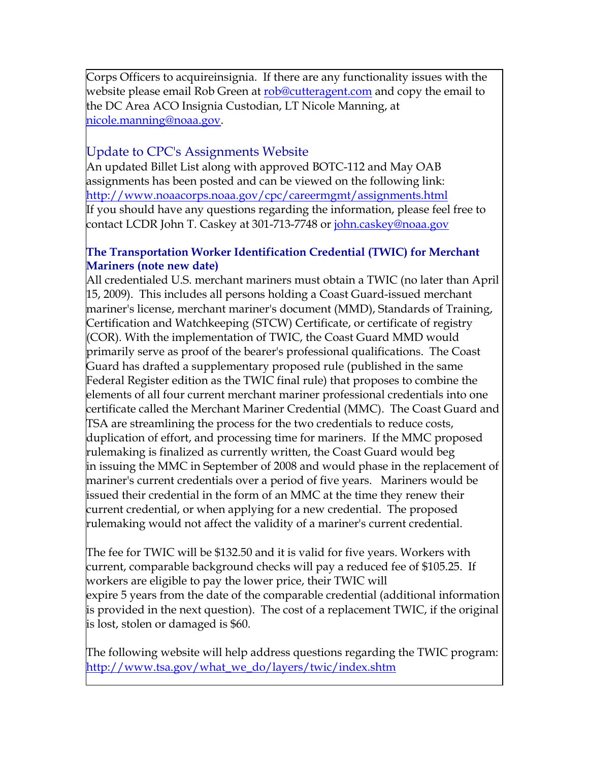Corps Officers to acquireinsignia. If there are any functionality issues with the website please email Rob Green at [rob@cutteragent.com](mailto:rob@cutteragent.com) and copy the email to the DC Area ACO Insignia Custodian, LT Nicole Manning, at [nicole.manning@noaa.gov](mailto:nicole.manning@noaa.gov).

#### Update to CPC's Assignments Website

An updated Billet List along with approved BOTC-112 and May OAB assignments has been posted and can be viewed on the following link: <http://www.noaacorps.noaa.gov/cpc/careermgmt/assignments.html> If you should have any questions regarding the information, please feel free to contact LCDR John T. Caskey at 301-713-7748 or [john.caskey@noaa.gov](mailto:john.caskey@noaa.gov)

#### **The Transportation Worker Identification Credential (TWIC) for Merchant Mariners (note new date)**

All credentialed U.S. merchant mariners must obtain a TWIC (no later than April 15, 2009). This includes all persons holding a Coast Guard-issued merchant mariner's license, merchant mariner's document (MMD), Standards of Training, Certification and Watchkeeping (STCW) Certificate, or certificate of registry (COR). With the implementation of TWIC, the Coast Guard MMD would primarily serve as proof of the bearer's professional qualifications. The Coast Guard has drafted a supplementary proposed rule (published in the same Federal Register edition as the TWIC final rule) that proposes to combine the elements of all four current merchant mariner professional credentials into one certificate called the Merchant Mariner Credential (MMC). The Coast Guard and TSA are streamlining the process for the two credentials to reduce costs, duplication of effort, and processing time for mariners. If the MMC proposed rulemaking is finalized as currently written, the Coast Guard would beg in issuing the MMC in September of 2008 and would phase in the replacement of mariner's current credentials over a period of five years. Mariners would be issued their credential in the form of an MMC at the time they renew their current credential, or when applying for a new credential. The proposed rulemaking would not affect the validity of a mariner's current credential.

The fee for TWIC will be \$132.50 and it is valid for five years. Workers with current, comparable background checks will pay a reduced fee of \$105.25. If workers are eligible to pay the lower price, their TWIC will expire 5 years from the date of the comparable credential (additional information is provided in the next question). The cost of a replacement TWIC, if the original is lost, stolen or damaged is \$60.

The following website will help address questions regarding the TWIC program: [http://www.tsa.gov/what\\_we\\_do/layers/twic/index.shtm](http://www.tsa.gov/what_we_do/layers/twic/index.shtm)